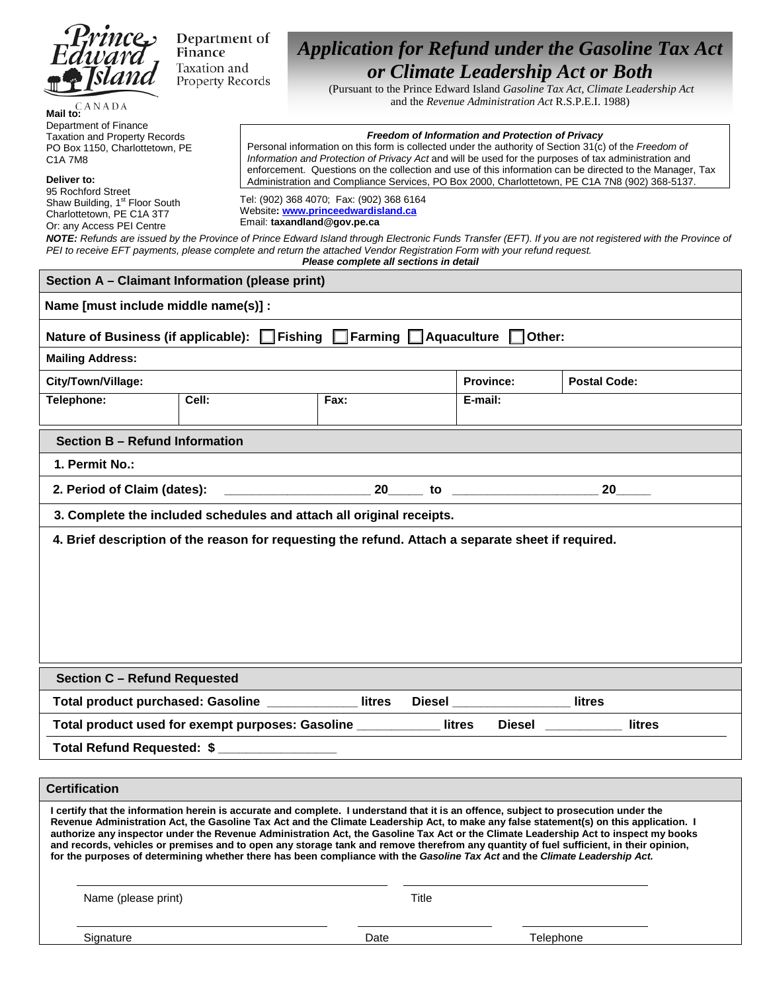

Department of Finance Taxation and Property Records PO Box 1150, Charlottetown, PE

Shaw Building, 1<sup>st</sup> Floor South Charlottetown, PE C1A 3T7

C1A 7M8 **Deliver to:** 95 Rochford Street

Department of Finance Taxation and Property Records

# *Application for Refund under the Gasoline Tax Act or Climate Leadership Act or Both*

(Pursuant to the Prince Edward Island *Gasoline Tax Act, Climate Leadership Act*  and the *Revenue Administration Act* R.S.P.E.I. 1988)

#### *Freedom of Information and Protection of Privacy*

Personal information on this form is collected under the authority of Section 31(c) of the *Freedom of Information and Protection of Privacy Act* and will be used for the purposes of tax administration and enforcement. Questions on the collection and use of this information can be directed to the Manager, Tax Administration and Compliance Services, PO Box 2000, Charlottetown, PE C1A 7N8 (902) 368-5137.

Tel: (902) 368 4070; Fax: (902) 368 6164 Website**: www.princeedwardisland.ca** Email: **taxandland@gov.pe.ca**

Or: any Access PEI Centre *NOTE: Refunds are issued by the Province of Prince Edward Island through Electronic Funds Transfer (EFT). If you are not registered with the Province of PEI to receive EFT payments, please complete and return the attached Vendor Registration Form with your refund request.*

*Please complete all sections in detail*

| Section A - Claimant Information (please print)                                                                                                                                                                                                                                                                                                                                                                                                                                                                                                                                                                                                                                                 |                                                                                                    |                                   |  |         |    |  |  |  |
|-------------------------------------------------------------------------------------------------------------------------------------------------------------------------------------------------------------------------------------------------------------------------------------------------------------------------------------------------------------------------------------------------------------------------------------------------------------------------------------------------------------------------------------------------------------------------------------------------------------------------------------------------------------------------------------------------|----------------------------------------------------------------------------------------------------|-----------------------------------|--|---------|----|--|--|--|
| Name [must include middle name(s)] :                                                                                                                                                                                                                                                                                                                                                                                                                                                                                                                                                                                                                                                            |                                                                                                    |                                   |  |         |    |  |  |  |
|                                                                                                                                                                                                                                                                                                                                                                                                                                                                                                                                                                                                                                                                                                 | Nature of Business (if applicable): Fishing                                                        | $\Box$ Farming $\Box$ Aquaculture |  | Other:  |    |  |  |  |
| <b>Mailing Address:</b>                                                                                                                                                                                                                                                                                                                                                                                                                                                                                                                                                                                                                                                                         |                                                                                                    |                                   |  |         |    |  |  |  |
| <b>Province:</b><br><b>Postal Code:</b><br>City/Town/Village:                                                                                                                                                                                                                                                                                                                                                                                                                                                                                                                                                                                                                                   |                                                                                                    |                                   |  |         |    |  |  |  |
| Telephone:                                                                                                                                                                                                                                                                                                                                                                                                                                                                                                                                                                                                                                                                                      | Fax:<br>Cell:<br>E-mail:                                                                           |                                   |  |         |    |  |  |  |
| Section B - Refund Information                                                                                                                                                                                                                                                                                                                                                                                                                                                                                                                                                                                                                                                                  |                                                                                                    |                                   |  |         |    |  |  |  |
| 1. Permit No.:                                                                                                                                                                                                                                                                                                                                                                                                                                                                                                                                                                                                                                                                                  |                                                                                                    |                                   |  |         |    |  |  |  |
| 2. Period of Claim (dates):                                                                                                                                                                                                                                                                                                                                                                                                                                                                                                                                                                                                                                                                     |                                                                                                    |                                   |  | $20$ to | 20 |  |  |  |
|                                                                                                                                                                                                                                                                                                                                                                                                                                                                                                                                                                                                                                                                                                 | 3. Complete the included schedules and attach all original receipts.                               |                                   |  |         |    |  |  |  |
|                                                                                                                                                                                                                                                                                                                                                                                                                                                                                                                                                                                                                                                                                                 | 4. Brief description of the reason for requesting the refund. Attach a separate sheet if required. |                                   |  |         |    |  |  |  |
|                                                                                                                                                                                                                                                                                                                                                                                                                                                                                                                                                                                                                                                                                                 |                                                                                                    |                                   |  |         |    |  |  |  |
|                                                                                                                                                                                                                                                                                                                                                                                                                                                                                                                                                                                                                                                                                                 |                                                                                                    |                                   |  |         |    |  |  |  |
|                                                                                                                                                                                                                                                                                                                                                                                                                                                                                                                                                                                                                                                                                                 |                                                                                                    |                                   |  |         |    |  |  |  |
|                                                                                                                                                                                                                                                                                                                                                                                                                                                                                                                                                                                                                                                                                                 |                                                                                                    |                                   |  |         |    |  |  |  |
|                                                                                                                                                                                                                                                                                                                                                                                                                                                                                                                                                                                                                                                                                                 |                                                                                                    |                                   |  |         |    |  |  |  |
| <b>Section C - Refund Requested</b>                                                                                                                                                                                                                                                                                                                                                                                                                                                                                                                                                                                                                                                             |                                                                                                    |                                   |  |         |    |  |  |  |
| Total product purchased: Gasoline _____________ litres<br>Diesel litres                                                                                                                                                                                                                                                                                                                                                                                                                                                                                                                                                                                                                         |                                                                                                    |                                   |  |         |    |  |  |  |
| litres<br>Total product used for exempt purposes: Gasoline ___________<br><b>Diesel</b><br>litres                                                                                                                                                                                                                                                                                                                                                                                                                                                                                                                                                                                               |                                                                                                    |                                   |  |         |    |  |  |  |
| Total Refund Requested: \$                                                                                                                                                                                                                                                                                                                                                                                                                                                                                                                                                                                                                                                                      |                                                                                                    |                                   |  |         |    |  |  |  |
|                                                                                                                                                                                                                                                                                                                                                                                                                                                                                                                                                                                                                                                                                                 |                                                                                                    |                                   |  |         |    |  |  |  |
| <b>Certification</b>                                                                                                                                                                                                                                                                                                                                                                                                                                                                                                                                                                                                                                                                            |                                                                                                    |                                   |  |         |    |  |  |  |
| I certify that the information herein is accurate and complete. I understand that it is an offence, subject to prosecution under the<br>Revenue Administration Act, the Gasoline Tax Act and the Climate Leadership Act, to make any false statement(s) on this application. I<br>authorize any inspector under the Revenue Administration Act, the Gasoline Tax Act or the Climate Leadership Act to inspect my books<br>and records, vehicles or premises and to open any storage tank and remove therefrom any quantity of fuel sufficient, in their opinion,<br>for the purposes of determining whether there has been compliance with the Gasoline Tax Act and the Climate Leadership Act. |                                                                                                    |                                   |  |         |    |  |  |  |

Name (please print) Title

Signature Date Telephone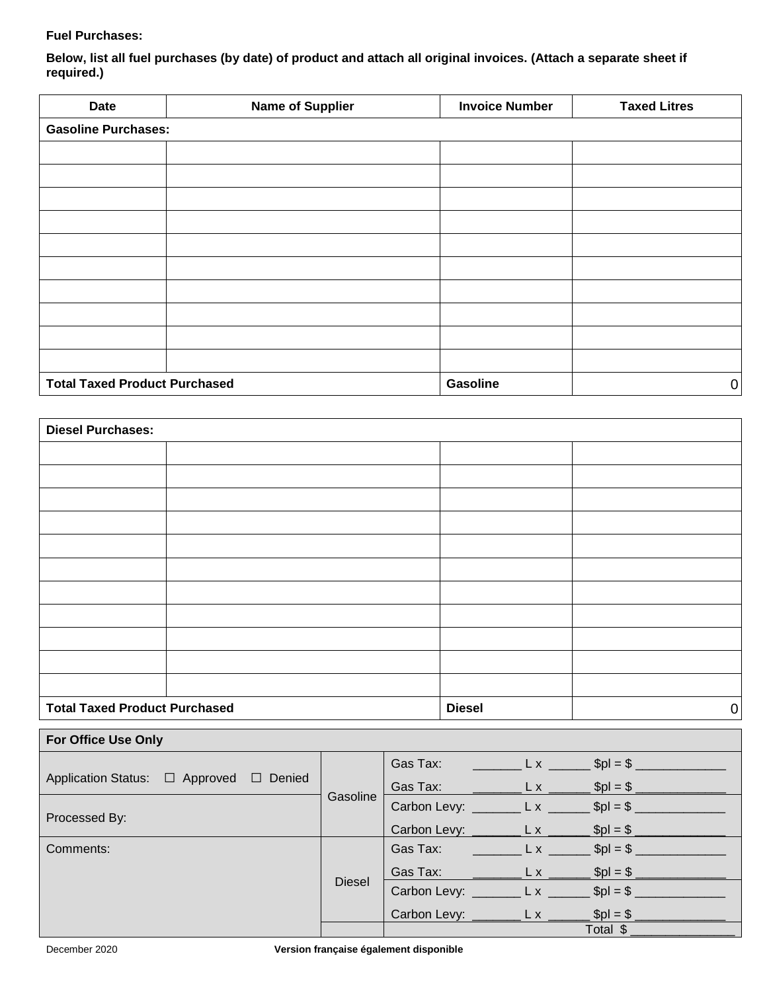### **Fuel Purchases:**

**Below, list all fuel purchases (by date) of product and attach all original invoices. (Attach a separate sheet if required.)**

| <b>Date</b>                          | <b>Name of Supplier</b>    | <b>Invoice Number</b> | <b>Taxed Litres</b> |  |  |  |  |  |
|--------------------------------------|----------------------------|-----------------------|---------------------|--|--|--|--|--|
|                                      | <b>Gasoline Purchases:</b> |                       |                     |  |  |  |  |  |
|                                      |                            |                       |                     |  |  |  |  |  |
|                                      |                            |                       |                     |  |  |  |  |  |
|                                      |                            |                       |                     |  |  |  |  |  |
|                                      |                            |                       |                     |  |  |  |  |  |
|                                      |                            |                       |                     |  |  |  |  |  |
|                                      |                            |                       |                     |  |  |  |  |  |
|                                      |                            |                       |                     |  |  |  |  |  |
|                                      |                            |                       |                     |  |  |  |  |  |
|                                      |                            |                       |                     |  |  |  |  |  |
|                                      |                            |                       |                     |  |  |  |  |  |
| <b>Total Taxed Product Purchased</b> |                            | Gasoline              | $\mathbf 0$         |  |  |  |  |  |

| <b>Diesel Purchases:</b>             |  |               |             |  |  |
|--------------------------------------|--|---------------|-------------|--|--|
|                                      |  |               |             |  |  |
|                                      |  |               |             |  |  |
|                                      |  |               |             |  |  |
|                                      |  |               |             |  |  |
|                                      |  |               |             |  |  |
|                                      |  |               |             |  |  |
|                                      |  |               |             |  |  |
|                                      |  |               |             |  |  |
|                                      |  |               |             |  |  |
|                                      |  |               |             |  |  |
|                                      |  |               |             |  |  |
| <b>Total Taxed Product Purchased</b> |  | <b>Diesel</b> | $\mathbf 0$ |  |  |

| <b>For Office Use Only</b>              |               |                                                                                                                                                                                                                                                                                                                     |          |  |  |  |  |
|-----------------------------------------|---------------|---------------------------------------------------------------------------------------------------------------------------------------------------------------------------------------------------------------------------------------------------------------------------------------------------------------------|----------|--|--|--|--|
|                                         |               | Gas Tax: _____________ L x _________ \$pl = \$ _________                                                                                                                                                                                                                                                            |          |  |  |  |  |
| Application Status: □ Approved □ Denied | Gasoline      | Gas Tax: $L \times 2 = 2$ Spl = \$                                                                                                                                                                                                                                                                                  |          |  |  |  |  |
|                                         |               | Carbon Levy: __________ L x ________ \$pl = \$ _____                                                                                                                                                                                                                                                                |          |  |  |  |  |
| Processed By:                           |               | Carbon Levy: _________ L x ________ \$pl = \$ _______                                                                                                                                                                                                                                                               |          |  |  |  |  |
| Comments:                               |               | Gas Tax: $L x$ $\frac{1}{2}$ $\frac{1}{2}$ $\frac{1}{2}$ $\frac{1}{2}$ $\frac{1}{2}$ $\frac{1}{2}$ $\frac{1}{2}$ $\frac{1}{2}$ $\frac{1}{2}$ $\frac{1}{2}$ $\frac{1}{2}$ $\frac{1}{2}$ $\frac{1}{2}$ $\frac{1}{2}$ $\frac{1}{2}$ $\frac{1}{2}$ $\frac{1}{2}$ $\frac{1}{2}$ $\frac{1}{2}$ $\frac{1}{2}$ $\frac{1}{2$ |          |  |  |  |  |
|                                         | <b>Diesel</b> | Gas Tax: $L \times 10^9 = 10^9$                                                                                                                                                                                                                                                                                     |          |  |  |  |  |
|                                         |               | Carbon Levy: $L x$ $\frac{1}{2}$ $\frac{1}{2}$ $\frac{1}{2}$ $\frac{1}{2}$ $\frac{1}{2}$ $\frac{1}{2}$ $\frac{1}{2}$ $\frac{1}{2}$ $\frac{1}{2}$ $\frac{1}{2}$ $\frac{1}{2}$ $\frac{1}{2}$ $\frac{1}{2}$ $\frac{1}{2}$ $\frac{1}{2}$ $\frac{1}{2}$ $\frac{1}{2}$ $\frac{1}{2}$ $\frac{1}{2}$ $\frac{1}{2}$ $\frac$  |          |  |  |  |  |
|                                         |               | Carbon Levy: _________ L x ________ \$pl = \$ _________                                                                                                                                                                                                                                                             |          |  |  |  |  |
|                                         |               |                                                                                                                                                                                                                                                                                                                     | Total \$ |  |  |  |  |